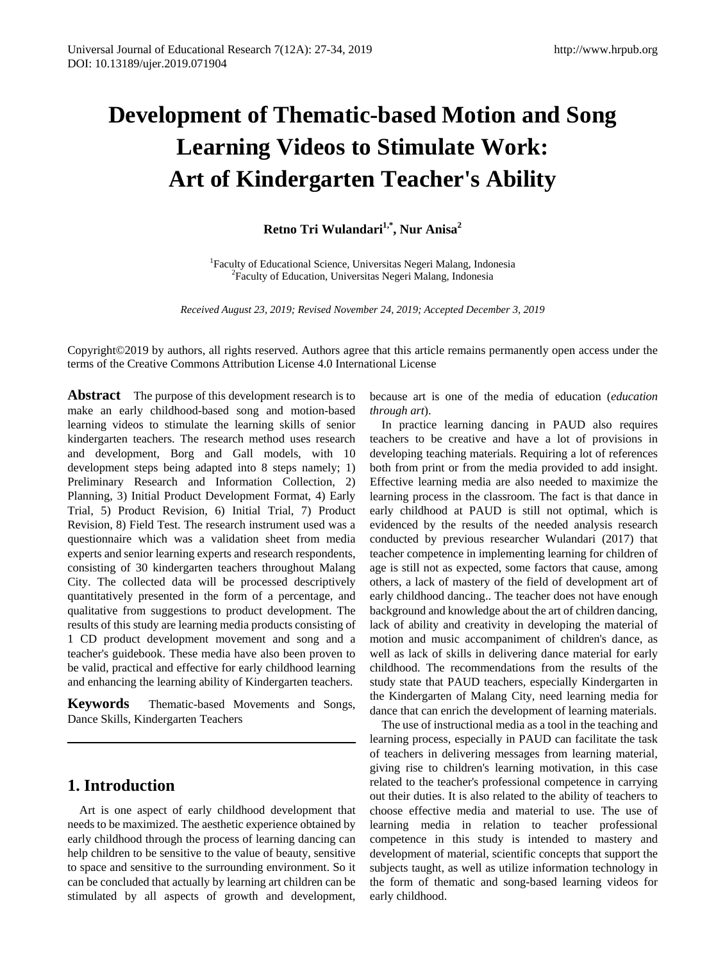# **Development of Thematic-based Motion and Song Learning Videos to Stimulate Work: Art of Kindergarten Teacher's Ability**

# **Retno Tri Wulandari1,\*, Nur Anisa2**

<sup>1</sup> Faculty of Educational Science, Universitas Negeri Malang, Indonesia<sup>2</sup> Faculty of Education, Universites Negeri Malang, Indonesia <sup>2</sup>Faculty of Education, Universitas Negeri Malang, Indonesia

*Received August 23, 2019; Revised November 24, 2019; Accepted December 3, 2019*

Copyright©2019 by authors, all rights reserved. Authors agree that this article remains permanently open access under the terms of the Creative Commons Attribution License 4.0 International License

**Abstract** The purpose of this development research is to make an early childhood-based song and motion-based learning videos to stimulate the learning skills of senior kindergarten teachers. The research method uses research and development, Borg and Gall models, with 10 development steps being adapted into 8 steps namely; 1) Preliminary Research and Information Collection, 2) Planning, 3) Initial Product Development Format, 4) Early Trial, 5) Product Revision, 6) Initial Trial, 7) Product Revision, 8) Field Test. The research instrument used was a questionnaire which was a validation sheet from media experts and senior learning experts and research respondents, consisting of 30 kindergarten teachers throughout Malang City. The collected data will be processed descriptively quantitatively presented in the form of a percentage, and qualitative from suggestions to product development. The results of this study are learning media products consisting of 1 CD product development movement and song and a teacher's guidebook. These media have also been proven to be valid, practical and effective for early childhood learning and enhancing the learning ability of Kindergarten teachers.

**Keywords** Thematic-based Movements and Songs, Dance Skills, Kindergarten Teachers

## **1. Introduction**

Art is one aspect of early childhood development that needs to be maximized. The aesthetic experience obtained by early childhood through the process of learning dancing can help children to be sensitive to the value of beauty, sensitive to space and sensitive to the surrounding environment. So it can be concluded that actually by learning art children can be stimulated by all aspects of growth and development, because art is one of the media of education (*education through art*).

In practice learning dancing in PAUD also requires teachers to be creative and have a lot of provisions in developing teaching materials. Requiring a lot of references both from print or from the media provided to add insight. Effective learning media are also needed to maximize the learning process in the classroom. The fact is that dance in early childhood at PAUD is still not optimal, which is evidenced by the results of the needed analysis research conducted by previous researcher Wulandari (2017) that teacher competence in implementing learning for children of age is still not as expected, some factors that cause, among others, a lack of mastery of the field of development art of early childhood dancing.. The teacher does not have enough background and knowledge about the art of children dancing, lack of ability and creativity in developing the material of motion and music accompaniment of children's dance, as well as lack of skills in delivering dance material for early childhood. The recommendations from the results of the study state that PAUD teachers, especially Kindergarten in the Kindergarten of Malang City, need learning media for dance that can enrich the development of learning materials.

The use of instructional media as a tool in the teaching and learning process, especially in PAUD can facilitate the task of teachers in delivering messages from learning material, giving rise to children's learning motivation, in this case related to the teacher's professional competence in carrying out their duties. It is also related to the ability of teachers to choose effective media and material to use. The use of learning media in relation to teacher professional competence in this study is intended to mastery and development of material, scientific concepts that support the subjects taught, as well as utilize information technology in the form of thematic and song-based learning videos for early childhood.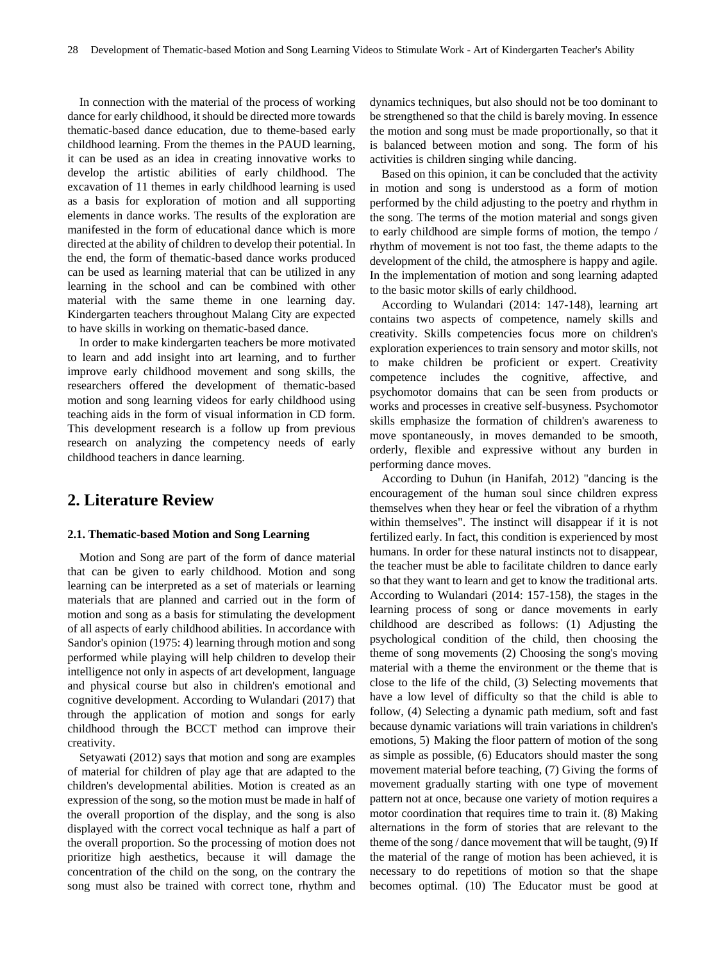In connection with the material of the process of working dance for early childhood, it should be directed more towards thematic-based dance education, due to theme-based early childhood learning. From the themes in the PAUD learning, it can be used as an idea in creating innovative works to develop the artistic abilities of early childhood. The excavation of 11 themes in early childhood learning is used as a basis for exploration of motion and all supporting elements in dance works. The results of the exploration are manifested in the form of educational dance which is more directed at the ability of children to develop their potential. In the end, the form of thematic-based dance works produced can be used as learning material that can be utilized in any learning in the school and can be combined with other material with the same theme in one learning day. Kindergarten teachers throughout Malang City are expected to have skills in working on thematic-based dance.

In order to make kindergarten teachers be more motivated to learn and add insight into art learning, and to further improve early childhood movement and song skills, the researchers offered the development of thematic-based motion and song learning videos for early childhood using teaching aids in the form of visual information in CD form. This development research is a follow up from previous research on analyzing the competency needs of early childhood teachers in dance learning.

## **2. Literature Review**

### **2.1. Thematic-based Motion and Song Learning**

Motion and Song are part of the form of dance material that can be given to early childhood. Motion and song learning can be interpreted as a set of materials or learning materials that are planned and carried out in the form of motion and song as a basis for stimulating the development of all aspects of early childhood abilities. In accordance with Sandor's opinion (1975: 4) learning through motion and song performed while playing will help children to develop their intelligence not only in aspects of art development, language and physical course but also in children's emotional and cognitive development. According to Wulandari (2017) that through the application of motion and songs for early childhood through the BCCT method can improve their creativity.

Setyawati (2012) says that motion and song are examples of material for children of play age that are adapted to the children's developmental abilities. Motion is created as an expression of the song, so the motion must be made in half of the overall proportion of the display, and the song is also displayed with the correct vocal technique as half a part of the overall proportion. So the processing of motion does not prioritize high aesthetics, because it will damage the concentration of the child on the song, on the contrary the song must also be trained with correct tone, rhythm and dynamics techniques, but also should not be too dominant to be strengthened so that the child is barely moving. In essence the motion and song must be made proportionally, so that it is balanced between motion and song. The form of his activities is children singing while dancing.

Based on this opinion, it can be concluded that the activity in motion and song is understood as a form of motion performed by the child adjusting to the poetry and rhythm in the song. The terms of the motion material and songs given to early childhood are simple forms of motion, the tempo / rhythm of movement is not too fast, the theme adapts to the development of the child, the atmosphere is happy and agile. In the implementation of motion and song learning adapted to the basic motor skills of early childhood.

According to Wulandari (2014: 147-148), learning art contains two aspects of competence, namely skills and creativity. Skills competencies focus more on children's exploration experiences to train sensory and motor skills, not to make children be proficient or expert. Creativity competence includes the cognitive, affective, and psychomotor domains that can be seen from products or works and processes in creative self-busyness. Psychomotor skills emphasize the formation of children's awareness to move spontaneously, in moves demanded to be smooth, orderly, flexible and expressive without any burden in performing dance moves.

According to Duhun (in Hanifah, 2012) "dancing is the encouragement of the human soul since children express themselves when they hear or feel the vibration of a rhythm within themselves". The instinct will disappear if it is not fertilized early. In fact, this condition is experienced by most humans. In order for these natural instincts not to disappear, the teacher must be able to facilitate children to dance early so that they want to learn and get to know the traditional arts. According to Wulandari (2014: 157-158), the stages in the learning process of song or dance movements in early childhood are described as follows: (1) Adjusting the psychological condition of the child, then choosing the theme of song movements (2) Choosing the song's moving material with a theme the environment or the theme that is close to the life of the child, (3) Selecting movements that have a low level of difficulty so that the child is able to follow, (4) Selecting a dynamic path medium, soft and fast because dynamic variations will train variations in children's emotions, 5) Making the floor pattern of motion of the song as simple as possible, (6) Educators should master the song movement material before teaching, (7) Giving the forms of movement gradually starting with one type of movement pattern not at once, because one variety of motion requires a motor coordination that requires time to train it. (8) Making alternations in the form of stories that are relevant to the theme of the song / dance movement that will be taught,  $(9)$  If the material of the range of motion has been achieved, it is necessary to do repetitions of motion so that the shape becomes optimal. (10) The Educator must be good at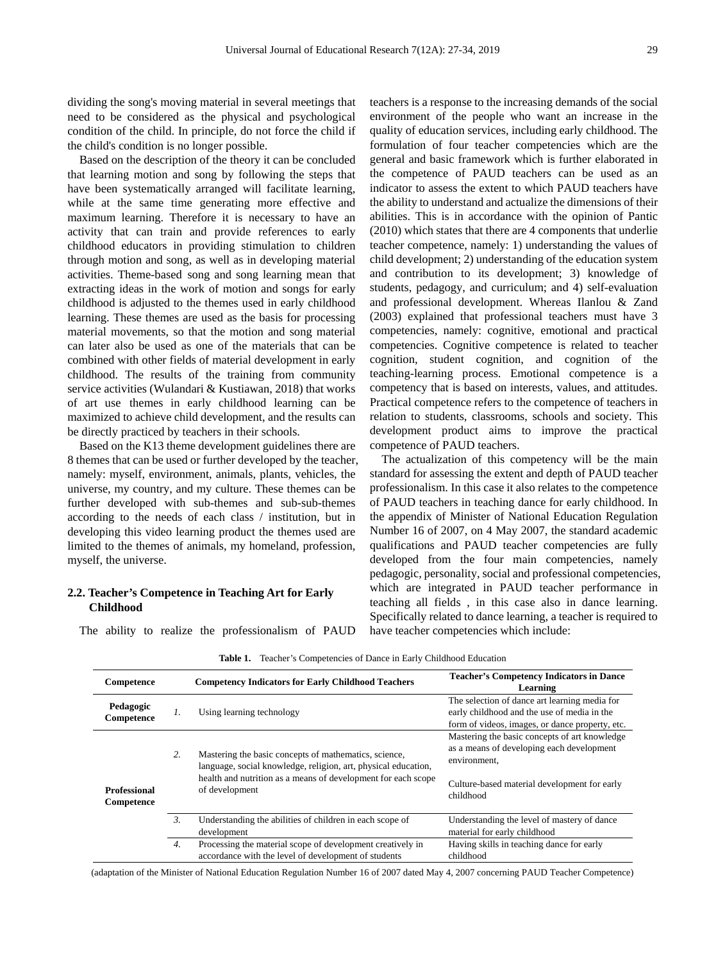dividing the song's moving material in several meetings that need to be considered as the physical and psychological condition of the child. In principle, do not force the child if the child's condition is no longer possible.

Based on the description of the theory it can be concluded that learning motion and song by following the steps that have been systematically arranged will facilitate learning, while at the same time generating more effective and maximum learning. Therefore it is necessary to have an activity that can train and provide references to early childhood educators in providing stimulation to children through motion and song, as well as in developing material activities. Theme-based song and song learning mean that extracting ideas in the work of motion and songs for early childhood is adjusted to the themes used in early childhood learning. These themes are used as the basis for processing material movements, so that the motion and song material can later also be used as one of the materials that can be combined with other fields of material development in early childhood. The results of the training from community service activities (Wulandari & Kustiawan, 2018) that works of art use themes in early childhood learning can be maximized to achieve child development, and the results can be directly practiced by teachers in their schools.

Based on the K13 theme development guidelines there are 8 themes that can be used or further developed by the teacher, namely: myself, environment, animals, plants, vehicles, the universe, my country, and my culture. These themes can be further developed with sub-themes and sub-sub-themes according to the needs of each class / institution, but in developing this video learning product the themes used are limited to the themes of animals, my homeland, profession, myself, the universe.

### **2.2. Teacher's Competence in Teaching Art for Early Childhood**

The ability to realize the professionalism of PAUD

teachers is a response to the increasing demands of the social environment of the people who want an increase in the quality of education services, including early childhood. The formulation of four teacher competencies which are the general and basic framework which is further elaborated in the competence of PAUD teachers can be used as an indicator to assess the extent to which PAUD teachers have the ability to understand and actualize the dimensions of their abilities. This is in accordance with the opinion of Pantic (2010) which states that there are 4 components that underlie teacher competence, namely: 1) understanding the values of child development; 2) understanding of the education system and contribution to its development; 3) knowledge of students, pedagogy, and curriculum; and 4) self-evaluation and professional development. Whereas Ilanlou & Zand (2003) explained that professional teachers must have 3 competencies, namely: cognitive, emotional and practical competencies. Cognitive competence is related to teacher cognition, student cognition, and cognition of the teaching-learning process. Emotional competence is a competency that is based on interests, values, and attitudes. Practical competence refers to the competence of teachers in relation to students, classrooms, schools and society. This development product aims to improve the practical competence of PAUD teachers.

The actualization of this competency will be the main standard for assessing the extent and depth of PAUD teacher professionalism. In this case it also relates to the competence of PAUD teachers in teaching dance for early childhood. In the appendix of Minister of National Education Regulation Number 16 of 2007, on 4 May 2007, the standard academic qualifications and PAUD teacher competencies are fully developed from the four main competencies, namely pedagogic, personality, social and professional competencies, which are integrated in PAUD teacher performance in teaching all fields , in this case also in dance learning. Specifically related to dance learning, a teacher is required to have teacher competencies which include:

| Competence                        |                 | <b>Competency Indicators for Early Childhood Teachers</b>                                                               | <b>Teacher's Competency Indicators in Dance</b><br>Learning                                                                                     |  |  |
|-----------------------------------|-----------------|-------------------------------------------------------------------------------------------------------------------------|-------------------------------------------------------------------------------------------------------------------------------------------------|--|--|
| Pedagogic<br>Competence           | $\mathcal{I}$ . | Using learning technology                                                                                               | The selection of dance art learning media for<br>early childhood and the use of media in the<br>form of videos, images, or dance property, etc. |  |  |
| <b>Professional</b><br>Competence | 2.              | Mastering the basic concepts of mathematics, science,<br>language, social knowledge, religion, art, physical education, | Mastering the basic concepts of art knowledge<br>as a means of developing each development<br>environment,                                      |  |  |
|                                   |                 | health and nutrition as a means of development for each scope<br>of development                                         | Culture-based material development for early<br>childhood                                                                                       |  |  |
|                                   | $\mathcal{Z}$   | Understanding the abilities of children in each scope of<br>development                                                 | Understanding the level of mastery of dance<br>material for early childhood                                                                     |  |  |
|                                   | 4.              | Processing the material scope of development creatively in<br>accordance with the level of development of students      | Having skills in teaching dance for early<br>childhood                                                                                          |  |  |

**Table 1.** Teacher's Competencies of Dance in Early Childhood Education

(adaptation of the Minister of National Education Regulation Number 16 of 2007 dated May 4, 2007 concerning PAUD Teacher Competence)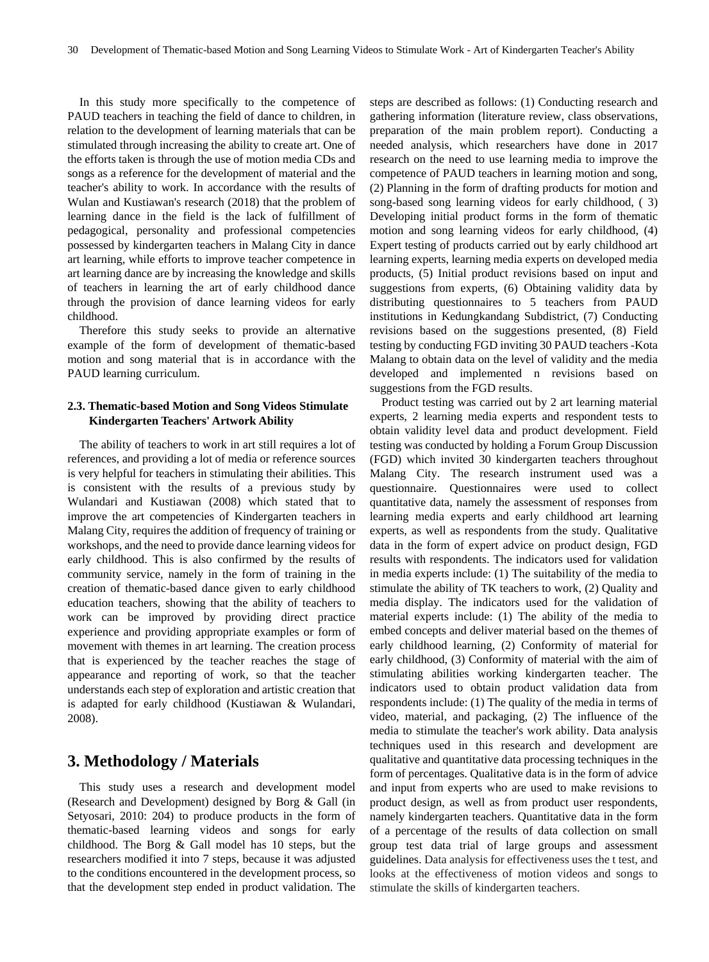In this study more specifically to the competence of PAUD teachers in teaching the field of dance to children, in relation to the development of learning materials that can be stimulated through increasing the ability to create art. One of the efforts taken is through the use of motion media CDs and songs as a reference for the development of material and the teacher's ability to work. In accordance with the results of Wulan and Kustiawan's research (2018) that the problem of learning dance in the field is the lack of fulfillment of pedagogical, personality and professional competencies possessed by kindergarten teachers in Malang City in dance art learning, while efforts to improve teacher competence in art learning dance are by increasing the knowledge and skills of teachers in learning the art of early childhood dance through the provision of dance learning videos for early childhood.

Therefore this study seeks to provide an alternative example of the form of development of thematic-based motion and song material that is in accordance with the PAUD learning curriculum.

## **2.3. Thematic-based Motion and Song Videos Stimulate Kindergarten Teachers' Artwork Ability**

The ability of teachers to work in art still requires a lot of references, and providing a lot of media or reference sources is very helpful for teachers in stimulating their abilities. This is consistent with the results of a previous study by Wulandari and Kustiawan (2008) which stated that to improve the art competencies of Kindergarten teachers in Malang City, requires the addition of frequency of training or workshops, and the need to provide dance learning videos for early childhood. This is also confirmed by the results of community service, namely in the form of training in the creation of thematic-based dance given to early childhood education teachers, showing that the ability of teachers to work can be improved by providing direct practice experience and providing appropriate examples or form of movement with themes in art learning. The creation process that is experienced by the teacher reaches the stage of appearance and reporting of work, so that the teacher understands each step of exploration and artistic creation that is adapted for early childhood (Kustiawan & Wulandari, 2008).

## **3. Methodology / Materials**

This study uses a research and development model (Research and Development) designed by Borg & Gall (in Setyosari, 2010: 204) to produce products in the form of thematic-based learning videos and songs for early childhood. The Borg & Gall model has 10 steps, but the researchers modified it into 7 steps, because it was adjusted to the conditions encountered in the development process, so that the development step ended in product validation. The

steps are described as follows: (1) Conducting research and gathering information (literature review, class observations, preparation of the main problem report). Conducting a needed analysis, which researchers have done in 2017 research on the need to use learning media to improve the competence of PAUD teachers in learning motion and song, (2) Planning in the form of drafting products for motion and song-based song learning videos for early childhood, ( 3) Developing initial product forms in the form of thematic motion and song learning videos for early childhood, (4) Expert testing of products carried out by early childhood art learning experts, learning media experts on developed media products, (5) Initial product revisions based on input and suggestions from experts, (6) Obtaining validity data by distributing questionnaires to 5 teachers from PAUD institutions in Kedungkandang Subdistrict, (7) Conducting revisions based on the suggestions presented, (8) Field testing by conducting FGD inviting 30 PAUD teachers -Kota Malang to obtain data on the level of validity and the media developed and implemented n revisions based on suggestions from the FGD results.

Product testing was carried out by 2 art learning material experts, 2 learning media experts and respondent tests to obtain validity level data and product development. Field testing was conducted by holding a Forum Group Discussion (FGD) which invited 30 kindergarten teachers throughout Malang City. The research instrument used was a questionnaire. Questionnaires were used to collect quantitative data, namely the assessment of responses from learning media experts and early childhood art learning experts, as well as respondents from the study. Qualitative data in the form of expert advice on product design, FGD results with respondents. The indicators used for validation in media experts include: (1) The suitability of the media to stimulate the ability of TK teachers to work, (2) Quality and media display. The indicators used for the validation of material experts include: (1) The ability of the media to embed concepts and deliver material based on the themes of early childhood learning, (2) Conformity of material for early childhood, (3) Conformity of material with the aim of stimulating abilities working kindergarten teacher. The indicators used to obtain product validation data from respondents include: (1) The quality of the media in terms of video, material, and packaging, (2) The influence of the media to stimulate the teacher's work ability. Data analysis techniques used in this research and development are qualitative and quantitative data processing techniques in the form of percentages. Qualitative data is in the form of advice and input from experts who are used to make revisions to product design, as well as from product user respondents, namely kindergarten teachers. Quantitative data in the form of a percentage of the results of data collection on small group test data trial of large groups and assessment guidelines. Data analysis for effectiveness uses the t test, and looks at the effectiveness of motion videos and songs to stimulate the skills of kindergarten teachers.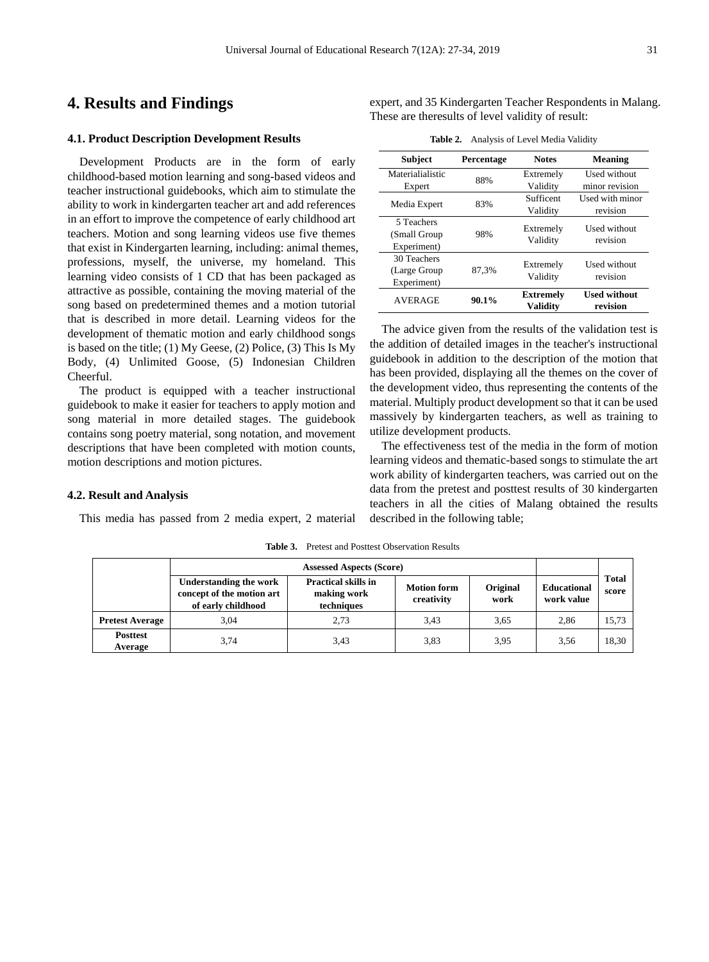## **4. Results and Findings**

#### **4.1. Product Description Development Results**

Development Products are in the form of early childhood-based motion learning and song-based videos and teacher instructional guidebooks, which aim to stimulate the ability to work in kindergarten teacher art and add references in an effort to improve the competence of early childhood art teachers. Motion and song learning videos use five themes that exist in Kindergarten learning, including: animal themes, professions, myself, the universe, my homeland. This learning video consists of 1 CD that has been packaged as attractive as possible, containing the moving material of the song based on predetermined themes and a motion tutorial that is described in more detail. Learning videos for the development of thematic motion and early childhood songs is based on the title; (1) My Geese, (2) Police, (3) This Is My Body, (4) Unlimited Goose, (5) Indonesian Children Cheerful.

The product is equipped with a teacher instructional guidebook to make it easier for teachers to apply motion and song material in more detailed stages. The guidebook contains song poetry material, song notation, and movement descriptions that have been completed with motion counts, motion descriptions and motion pictures.

#### **4.2. Result and Analysis**

This media has passed from 2 media expert, 2 material

**Table 3.** Pretest and Posttest Observation Results

|                            | <b>Assessed Aspects (Score)</b>                                                  |                                                         |                                                      |      |                                  |                       |
|----------------------------|----------------------------------------------------------------------------------|---------------------------------------------------------|------------------------------------------------------|------|----------------------------------|-----------------------|
|                            | <b>Understanding the work</b><br>concept of the motion art<br>of early childhood | <b>Practical skills in</b><br>making work<br>techniques | Original<br><b>Motion form</b><br>creativity<br>work |      | <b>Educational</b><br>work value | <b>Total</b><br>score |
| <b>Pretest Average</b>     | 3.04                                                                             | 2.73                                                    | 3.43                                                 | 3,65 | 2.86                             | 15.73                 |
| <b>Posttest</b><br>Average | 3,74                                                                             | 3,43                                                    | 3.83                                                 | 3.95 | 3,56                             | 18.30                 |

expert, and 35 Kindergarten Teacher Respondents in Malang. These are theresults of level validity of result:

**Table 2.** Analysis of Level Media Validity

| <b>Subject</b>                              | Percentage | <b>Notes</b>                        | Meaning                         |
|---------------------------------------------|------------|-------------------------------------|---------------------------------|
| Materialialistic                            | 88%        | Extremely                           | Used without                    |
| Expert                                      |            | Validity                            | minor revision                  |
| Media Expert                                | 83%        | Sufficent                           | Used with minor                 |
|                                             |            | Validity                            | revision                        |
| 5 Teachers<br>(Small Group)<br>Experiment)  | 98%        | Extremely<br>Validity               | Used without<br>revision        |
| 30 Teachers<br>(Large Group)<br>Experiment) | 87.3%      | Extremely<br>Validity               | Used without<br>revision        |
| <b>AVERAGE</b>                              | $90.1\%$   | <b>Extremely</b><br><b>Validity</b> | <b>Used without</b><br>revision |

The advice given from the results of the validation test is the addition of detailed images in the teacher's instructional guidebook in addition to the description of the motion that has been provided, displaying all the themes on the cover of the development video, thus representing the contents of the material. Multiply product development so that it can be used massively by kindergarten teachers, as well as training to utilize development products.

The effectiveness test of the media in the form of motion learning videos and thematic-based songs to stimulate the art work ability of kindergarten teachers, was carried out on the data from the pretest and posttest results of 30 kindergarten teachers in all the cities of Malang obtained the results described in the following table;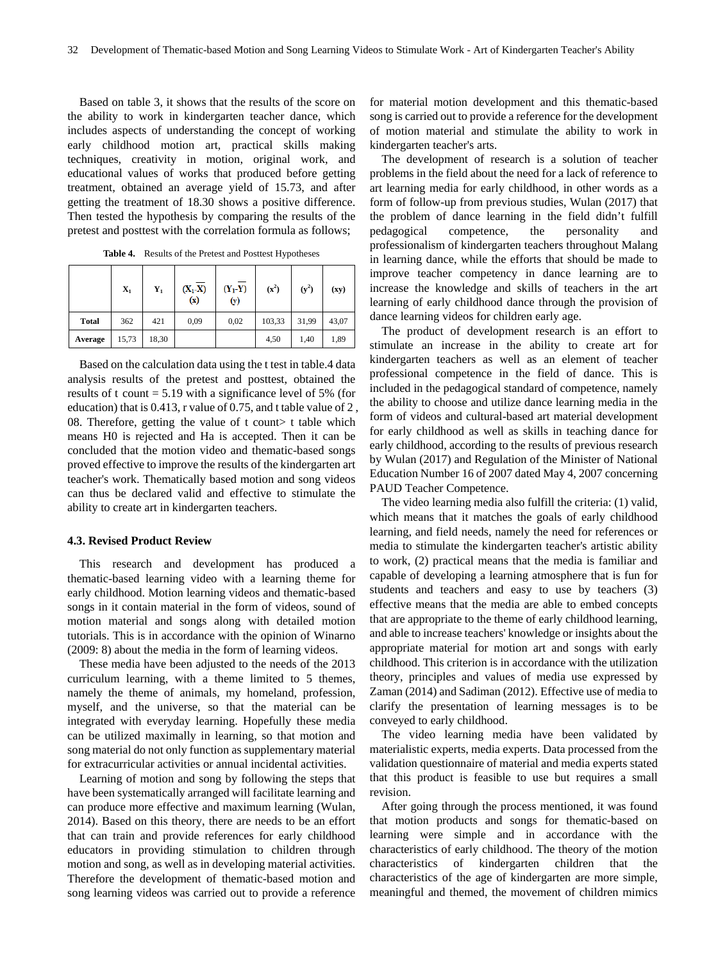Based on table 3, it shows that the results of the score on the ability to work in kindergarten teacher dance, which includes aspects of understanding the concept of working early childhood motion art, practical skills making techniques, creativity in motion, original work, and educational values of works that produced before getting treatment, obtained an average yield of 15.73, and after getting the treatment of 18.30 shows a positive difference. Then tested the hypothesis by comparing the results of the pretest and posttest with the correlation formula as follows;

|              |                |             |                  | - -              |         |         |       |  |
|--------------|----------------|-------------|------------------|------------------|---------|---------|-------|--|
|              | $\mathbf{X}_1$ | ${\bf Y}_1$ | $(X_1-X)$<br>(x) | $(Y_1-Y)$<br>(y) | $(x^2)$ | $(y^2)$ | (xy)  |  |
| <b>Total</b> | 362            | 421         | 0,09             | 0,02             | 103,33  | 31,99   | 43,07 |  |
| Average      | 15,73          | 18,30       |                  |                  | 4,50    | 1,40    | 1,89  |  |

**Table 4.** Results of the Pretest and Posttest Hypotheses

Based on the calculation data using the t test in table.4 data analysis results of the pretest and posttest, obtained the results of t count  $= 5.19$  with a significance level of 5% (for education) that is 0.413, r value of 0.75, and t table value of 2 , 08. Therefore, getting the value of t count t table which means H0 is rejected and Ha is accepted. Then it can be concluded that the motion video and thematic-based songs proved effective to improve the results of the kindergarten art teacher's work. Thematically based motion and song videos can thus be declared valid and effective to stimulate the ability to create art in kindergarten teachers.

#### **4.3. Revised Product Review**

This research and development has produced a thematic-based learning video with a learning theme for early childhood. Motion learning videos and thematic-based songs in it contain material in the form of videos, sound of motion material and songs along with detailed motion tutorials. This is in accordance with the opinion of Winarno (2009: 8) about the media in the form of learning videos.

These media have been adjusted to the needs of the 2013 curriculum learning, with a theme limited to 5 themes, namely the theme of animals, my homeland, profession, myself, and the universe, so that the material can be integrated with everyday learning. Hopefully these media can be utilized maximally in learning, so that motion and song material do not only function as supplementary material for extracurricular activities or annual incidental activities.

Learning of motion and song by following the steps that have been systematically arranged will facilitate learning and can produce more effective and maximum learning (Wulan, 2014). Based on this theory, there are needs to be an effort that can train and provide references for early childhood educators in providing stimulation to children through motion and song, as well as in developing material activities. Therefore the development of thematic-based motion and song learning videos was carried out to provide a reference

for material motion development and this thematic-based song is carried out to provide a reference for the development of motion material and stimulate the ability to work in kindergarten teacher's arts.

The development of research is a solution of teacher problems in the field about the need for a lack of reference to art learning media for early childhood, in other words as a form of follow-up from previous studies, Wulan (2017) that the problem of dance learning in the field didn't fulfill pedagogical competence, the personality and professionalism of kindergarten teachers throughout Malang in learning dance, while the efforts that should be made to improve teacher competency in dance learning are to increase the knowledge and skills of teachers in the art learning of early childhood dance through the provision of dance learning videos for children early age.

The product of development research is an effort to stimulate an increase in the ability to create art for kindergarten teachers as well as an element of teacher professional competence in the field of dance. This is included in the pedagogical standard of competence, namely the ability to choose and utilize dance learning media in the form of videos and cultural-based art material development for early childhood as well as skills in teaching dance for early childhood, according to the results of previous research by Wulan (2017) and Regulation of the Minister of National Education Number 16 of 2007 dated May 4, 2007 concerning PAUD Teacher Competence.

The video learning media also fulfill the criteria: (1) valid, which means that it matches the goals of early childhood learning, and field needs, namely the need for references or media to stimulate the kindergarten teacher's artistic ability to work, (2) practical means that the media is familiar and capable of developing a learning atmosphere that is fun for students and teachers and easy to use by teachers (3) effective means that the media are able to embed concepts that are appropriate to the theme of early childhood learning, and able to increase teachers' knowledge or insights about the appropriate material for motion art and songs with early childhood. This criterion is in accordance with the utilization theory, principles and values of media use expressed by Zaman (2014) and Sadiman (2012). Effective use of media to clarify the presentation of learning messages is to be conveyed to early childhood.

The video learning media have been validated by materialistic experts, media experts. Data processed from the validation questionnaire of material and media experts stated that this product is feasible to use but requires a small revision.

After going through the process mentioned, it was found that motion products and songs for thematic-based on learning were simple and in accordance with the characteristics of early childhood. The theory of the motion characteristics of kindergarten children that the characteristics of the age of kindergarten are more simple, meaningful and themed, the movement of children mimics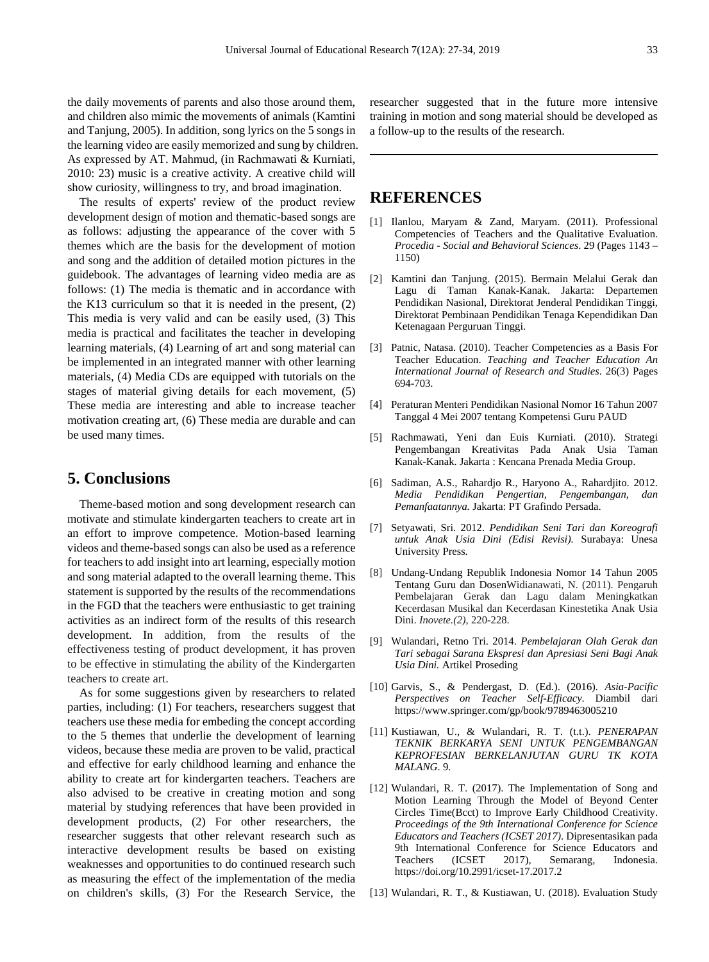the daily movements of parents and also those around them, and children also mimic the movements of animals (Kamtini and Tanjung, 2005). In addition, song lyrics on the 5 songs in the learning video are easily memorized and sung by children. As expressed by AT. Mahmud, (in Rachmawati & Kurniati, 2010: 23) music is a creative activity. A creative child will show curiosity, willingness to try, and broad imagination.

The results of experts' review of the product review development design of motion and thematic-based songs are as follows: adjusting the appearance of the cover with 5 themes which are the basis for the development of motion and song and the addition of detailed motion pictures in the guidebook. The advantages of learning video media are as follows: (1) The media is thematic and in accordance with the K13 curriculum so that it is needed in the present, (2) This media is very valid and can be easily used, (3) This media is practical and facilitates the teacher in developing learning materials, (4) Learning of art and song material can be implemented in an integrated manner with other learning materials, (4) Media CDs are equipped with tutorials on the stages of material giving details for each movement, (5) These media are interesting and able to increase teacher motivation creating art, (6) These media are durable and can be used many times.

## **5. Conclusions**

Theme-based motion and song development research can motivate and stimulate kindergarten teachers to create art in an effort to improve competence. Motion-based learning videos and theme-based songs can also be used as a reference for teachers to add insight into art learning, especially motion and song material adapted to the overall learning theme. This statement is supported by the results of the recommendations in the FGD that the teachers were enthusiastic to get training activities as an indirect form of the results of this research development. In addition, from the results of the effectiveness testing of product development, it has proven to be effective in stimulating the ability of the Kindergarten teachers to create art.

As for some suggestions given by researchers to related parties, including: (1) For teachers, researchers suggest that teachers use these media for embeding the concept according to the 5 themes that underlie the development of learning videos, because these media are proven to be valid, practical and effective for early childhood learning and enhance the ability to create art for kindergarten teachers. Teachers are also advised to be creative in creating motion and song material by studying references that have been provided in development products, (2) For other researchers, the researcher suggests that other relevant research such as interactive development results be based on existing weaknesses and opportunities to do continued research such as measuring the effect of the implementation of the media on children's skills, (3) For the Research Service, the researcher suggested that in the future more intensive training in motion and song material should be developed as a follow-up to the results of the research.

# **REFERENCES**

- [1] Ilanlou, Maryam & Zand, Maryam. (2011). Professional Competencies of Teachers and the Qualitative Evaluation. *Procedia - Social and Behavioral Sciences*. 29 (Pages 1143 – 1150)
- [2] Kamtini dan Tanjung. (2015). Bermain Melalui Gerak dan Lagu di Taman Kanak-Kanak. Jakarta: Departemen Pendidikan Nasional, Direktorat Jenderal Pendidikan Tinggi, Direktorat Pembinaan Pendidikan Tenaga Kependidikan Dan Ketenagaan Perguruan Tinggi.
- [3] Patnic, Natasa. (2010). Teacher Competencies as a Basis For Teacher Education. *Teaching and Teacher Education An International Journal of Research and Studies*. 26(3) Pages 694-703.
- [4] Peraturan Menteri Pendidikan Nasional Nomor 16 Tahun 2007 Tanggal 4 Mei 2007 tentang Kompetensi Guru PAUD
- [5] Rachmawati, Yeni dan Euis Kurniati. (2010). Strategi Pengembangan Kreativitas Pada Anak Usia Taman Kanak-Kanak. Jakarta : Kencana Prenada Media Group.
- [6] Sadiman, A.S., Rahardjo R., Haryono A., Rahardjito. 2012. *Media Pendidikan Pengertian, Pengembangan, dan Pemanfaatannya.* Jakarta: PT Grafindo Persada.
- [7] Setyawati, Sri. 2012. *Pendidikan Seni Tari dan Koreografi untuk Anak Usia Dini (Edisi Revisi).* Surabaya: Unesa University Press.
- [8] Undang-Undang Republik Indonesia Nomor 14 Tahun 2005 Tentang Guru dan DosenWidianawati, N. (2011). Pengaruh Pembelajaran Gerak dan Lagu dalam Meningkatkan Kecerdasan Musikal dan Kecerdasan Kinestetika Anak Usia Dini. *Inovete.(2)*, 220-228.
- [9] Wulandari, Retno Tri. 2014. *Pembelajaran Olah Gerak dan Tari sebagai Sarana Ekspresi dan Apresiasi Seni Bagi Anak Usia Dini.* Artikel Proseding
- [10] Garvis, S., & Pendergast, D. (Ed.). (2016). *Asia-Pacific Perspectives on Teacher Self-Efficacy*. Diambil dari https://www.springer.com/gp/book/9789463005210
- [11] Kustiawan, U., & Wulandari, R. T. (t.t.). *PENERAPAN TEKNIK BERKARYA SENI UNTUK PENGEMBANGAN KEPROFESIAN BERKELANJUTAN GURU TK KOTA MALANG*. 9.
- [12] Wulandari, R. T. (2017). The Implementation of Song and Motion Learning Through the Model of Beyond Center Circles Time(Bcct) to Improve Early Childhood Creativity. *Proceedings of the 9th International Conference for Science Educators and Teachers (ICSET 2017)*. Dipresentasikan pada 9th International Conference for Science Educators and<br>Teachers (ICSET 2017), Semarang, Indonesia. Teachers (ICSET 2017), Semarang, Indonesia. https://doi.org/10.2991/icset-17.2017.2
- [13] Wulandari, R. T., & Kustiawan, U. (2018). Evaluation Study